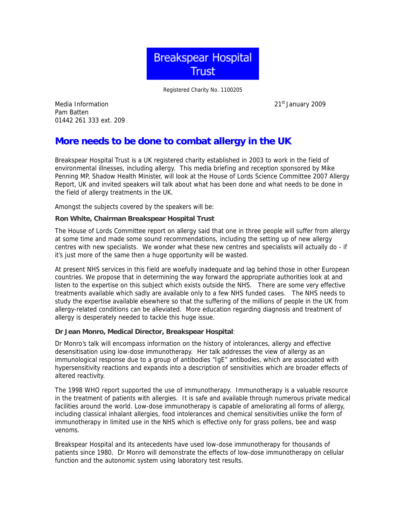

Registered Charity No. 1100205

Media Information 2009 21st January 2009 Pam Batten 01442 261 333 ext. 209

# **More needs to be done to combat allergy in the UK**

Breakspear Hospital Trust is a UK registered charity established in 2003 to work in the field of environmental illnesses, including allergy. This media briefing and reception sponsored by Mike Penning MP, Shadow Health Minister, will look at the House of Lords Science Committee 2007 Allergy Report, UK and invited speakers will talk about what has been done and what needs to be done in the field of allergy treatments in the UK.

Amongst the subjects covered by the speakers will be:

### **Ron White, Chairman Breakspear Hospital Trust**

The House of Lords Committee report on allergy said that one in three people will suffer from allergy at some time and made some sound recommendations, including the setting up of new allergy centres with new specialists. We wonder what these new centres and specialists will actually do - if it's just more of the same then a huge opportunity will be wasted.

At present NHS services in this field are woefully inadequate and lag behind those in other European countries. We propose that in determining the way forward the appropriate authorities look at and listen to the expertise on this subject which exists outside the NHS. There are some very effective treatments available which sadly are available only to a few NHS funded cases. The NHS needs to study the expertise available elsewhere so that the suffering of the millions of people in the UK from allergy-related conditions can be alleviated. More education regarding diagnosis and treatment of allergy is desperately needed to tackle this huge issue.

### **Dr Jean Monro, Medical Director, Breakspear Hospital**:

Dr Monro's talk will encompass information on the history of intolerances, allergy and effective desensitisation using low-dose immunotherapy. Her talk addresses the view of allergy as an immunological response due to a group of antibodies "IgE" antibodies, which are associated with hypersensitivity reactions and expands into a description of sensitivities which are broader effects of altered reactivity.

The 1998 WHO report supported the use of immunotherapy. Immunotherapy is a valuable resource in the treatment of patients with allergies. It is safe and available through numerous private medical facilities around the world. Low-dose immunotherapy is capable of ameliorating all forms of allergy, including classical inhalant allergies, food intolerances and chemical sensitivities unlike the form of immunotherapy in limited use in the NHS which is effective only for grass pollens, bee and wasp venoms.

Breakspear Hospital and its antecedents have used low-dose immunotherapy for thousands of patients since 1980. Dr Monro will demonstrate the effects of low-dose immunotherapy on cellular function and the autonomic system using laboratory test results.